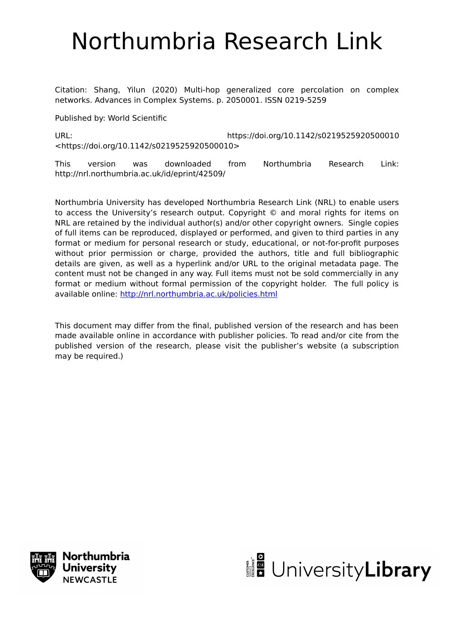# Northumbria Research Link

Citation: Shang, Yilun (2020) Multi-hop generalized core percolation on complex networks. Advances in Complex Systems. p. 2050001. ISSN 0219-5259

Published by: World Scientific

URL: https://doi.org/10.1142/s0219525920500010 <https://doi.org/10.1142/s0219525920500010>

This version was downloaded from Northumbria Research Link: http://nrl.northumbria.ac.uk/id/eprint/42509/

Northumbria University has developed Northumbria Research Link (NRL) to enable users to access the University's research output. Copyright © and moral rights for items on NRL are retained by the individual author(s) and/or other copyright owners. Single copies of full items can be reproduced, displayed or performed, and given to third parties in any format or medium for personal research or study, educational, or not-for-profit purposes without prior permission or charge, provided the authors, title and full bibliographic details are given, as well as a hyperlink and/or URL to the original metadata page. The content must not be changed in any way. Full items must not be sold commercially in any format or medium without formal permission of the copyright holder. The full policy is available online:<http://nrl.northumbria.ac.uk/policies.html>

This document may differ from the final, published version of the research and has been made available online in accordance with publisher policies. To read and/or cite from the published version of the research, please visit the publisher's website (a subscription may be required.)



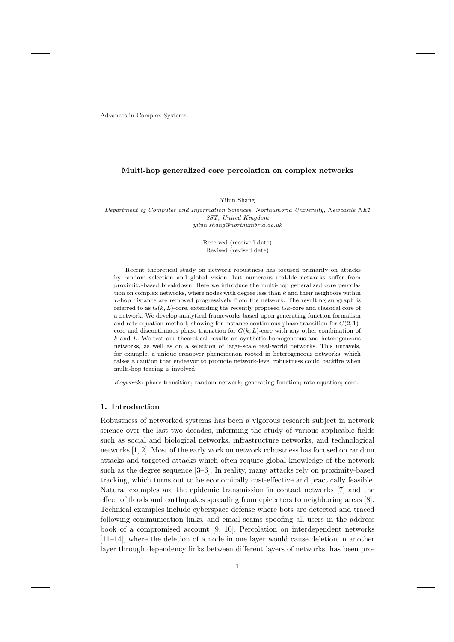Advances in Complex Systems

## **Multi-hop generalized core percolation on complex networks**

Yilun Shang

*Department of Computer and Information Sciences, Northumbria University, Newcastle NE1 8ST, United Kingdom yilun.shang@northumbria.ac.uk*

> Received (received date) Revised (revised date)

Recent theoretical study on network robustness has focused primarily on attacks by random selection and global vision, but numerous real-life networks suffer from proximity-based breakdown. Here we introduce the multi-hop generalized core percolation on complex networks, where nodes with degree less than *k* and their neighbors within *L*-hop distance are removed progressively from the network. The resulting subgraph is referred to as *G*(*k, L*)-core, extending the recently proposed *Gk*-core and classical core of a network. We develop analytical frameworks based upon generating function formalism and rate equation method, showing for instance continuous phase transition for  $G(2, 1)$ core and discontinuous phase transition for  $G(k, L)$ -core with any other combination of *k* and *L*. We test our theoretical results on synthetic homogeneous and heterogeneous networks, as well as on a selection of large-scale real-world networks. This unravels, for example, a unique crossover phenomenon rooted in heterogeneous networks, which raises a caution that endeavor to promote network-level robustness could backfire when multi-hop tracing is involved.

*Keywords*: phase transition; random network; generating function; rate equation; core.

## **1. Introduction**

Robustness of networked systems has been a vigorous research subject in network science over the last two decades, informing the study of various applicable fields such as social and biological networks, infrastructure networks, and technological networks [1, 2]. Most of the early work on network robustness has focused on random attacks and targeted attacks which often require global knowledge of the network such as the degree sequence [3–6]. In reality, many attacks rely on proximity-based tracking, which turns out to be economically cost-effective and practically feasible. Natural examples are the epidemic transmission in contact networks [7] and the effect of floods and earthquakes spreading from epicenters to neighboring areas [8]. Technical examples include cyberspace defense where bots are detected and traced following communication links, and email scams spoofing all users in the address book of a compromised account [9, 10]. Percolation on interdependent networks [11–14], where the deletion of a node in one layer would cause deletion in another layer through dependency links between different layers of networks, has been pro-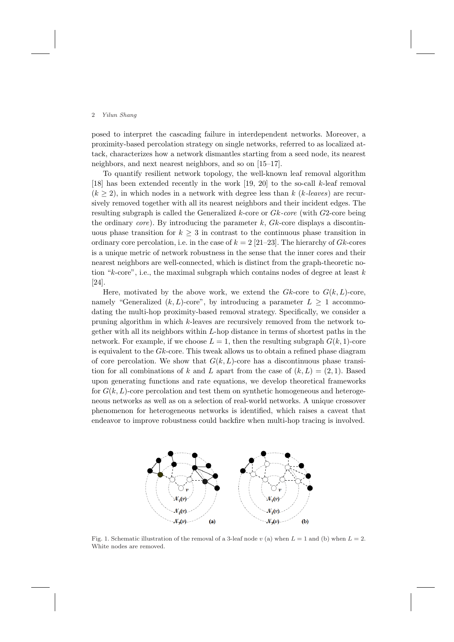posed to interpret the cascading failure in interdependent networks. Moreover, a proximity-based percolation strategy on single networks, referred to as localized attack, characterizes how a network dismantles starting from a seed node, its nearest neighbors, and next nearest neighbors, and so on [15–17].

To quantify resilient network topology, the well-known leaf removal algorithm [18] has been extended recently in the work [19, 20] to the so-call *k*-leaf removal  $(k \geq 2)$ , in which nodes in a network with degree less than  $k$  ( $k$ *-leaves*) are recursively removed together with all its nearest neighbors and their incident edges. The resulting subgraph is called the Generalized *k*-core or *Gk-core* (with *G*2-core being the ordinary *core*). By introducing the parameter *k*, *Gk*-core displays a discontinuous phase transition for  $k \geq 3$  in contrast to the continuous phase transition in ordinary core percolation, i.e. in the case of  $k = 2$  [21–23]. The hierarchy of *Gk*-cores is a unique metric of network robustness in the sense that the inner cores and their nearest neighbors are well-connected, which is distinct from the graph-theoretic notion "*k*-core", i.e., the maximal subgraph which contains nodes of degree at least *k* [24].

Here, motivated by the above work, we extend the  $Gk$ -core to  $G(k, L)$ -core, namely "Generalized  $(k, L)$ -core", by introducing a parameter  $L \geq 1$  accommodating the multi-hop proximity-based removal strategy. Specifically, we consider a pruning algorithm in which *k*-leaves are recursively removed from the network together with all its neighbors within *L*-hop distance in terms of shortest paths in the network. For example, if we choose  $L = 1$ , then the resulting subgraph  $G(k, 1)$ -core is equivalent to the *Gk*-core. This tweak allows us to obtain a refined phase diagram of core percolation. We show that  $G(k, L)$ -core has a discontinuous phase transition for all combinations of *k* and *L* apart from the case of  $(k, L) = (2, 1)$ . Based upon generating functions and rate equations, we develop theoretical frameworks for  $G(k, L)$ -core percolation and test them on synthetic homogeneous and heterogeneous networks as well as on a selection of real-world networks. A unique crossover phenomenon for heterogeneous networks is identified, which raises a caveat that endeavor to improve robustness could backfire when multi-hop tracing is involved.



Fig. 1. Schematic illustration of the removal of a 3-leaf node *v* (a) when  $L = 1$  and (b) when  $L = 2$ . White nodes are removed.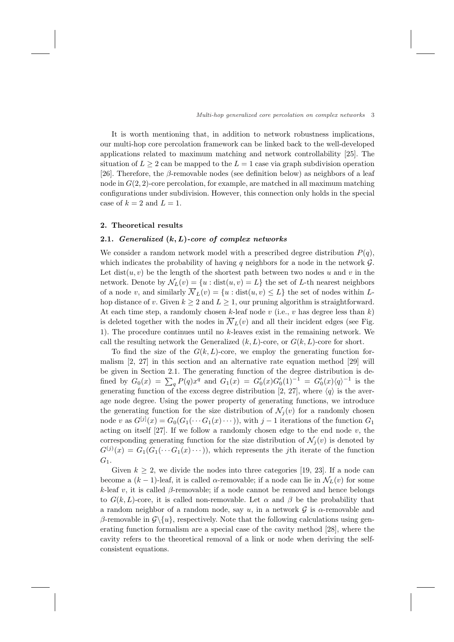It is worth mentioning that, in addition to network robustness implications, our multi-hop core percolation framework can be linked back to the well-developed applications related to maximum matching and network controllability [25]. The situation of  $L > 2$  can be mapped to the  $L = 1$  case via graph subdivision operation [26]. Therefore, the *β*-removable nodes (see definition below) as neighbors of a leaf node in  $G(2, 2)$ -core percolation, for example, are matched in all maximum matching configurations under subdivision. However, this connection only holds in the special case of  $k = 2$  and  $L = 1$ .

## **2. Theoretical results**

## **2.1.** *Generalized* **(***k, L***)***-core of complex networks*

We consider a random network model with a prescribed degree distribution  $P(q)$ , which indicates the probability of having *q* neighbors for a node in the network *G*. Let  $dist(u, v)$  be the length of the shortest path between two nodes  $u$  and  $v$  in the network. Denote by  $\mathcal{N}_L(v) = \{u : \text{dist}(u, v) = L\}$  the set of *L*-th nearest neighbors of a node *v*, and similarly  $\overline{\mathcal{N}}_L(v) = \{u : \text{dist}(u, v) \leq L\}$  the set of nodes within *L*hop distance of *v*. Given  $k \geq 2$  and  $L \geq 1$ , our pruning algorithm is straightforward. At each time step, a randomly chosen  $k$ -leaf node  $v$  (i.e.,  $v$  has degree less than  $k$ ) is deleted together with the nodes in  $\overline{\mathcal{N}}_L(v)$  and all their incident edges (see Fig. 1). The procedure continues until no *k*-leaves exist in the remaining network. We call the resulting network the Generalized  $(k, L)$ -core, or  $G(k, L)$ -core for short.

To find the size of the  $G(k, L)$ -core, we employ the generating function formalism [2, 27] in this section and an alternative rate equation method [29] will be given in Section 2.1. The generating function of the degree distribution is defined by  $G_0(x) = \sum_q P(q)x^q$  and  $G_1(x) = G'_0(x)G'_0(1)^{-1} = G'_0(x)\langle q \rangle^{-1}$  is the generating function of the excess degree distribution [2, 27], where  $\langle q \rangle$  is the average node degree. Using the power property of generating functions, we introduce the generating function for the size distribution of  $\mathcal{N}_j(v)$  for a randomly chosen node *v* as  $G^{[j]}(x) = G_0(G_1(\cdots G_1(x) \cdots))$ , with  $j-1$  iterations of the function  $G_1$ acting on itself [27]. If we follow a randomly chosen edge to the end node *v*, the corresponding generating function for the size distribution of  $\mathcal{N}_i(v)$  is denoted by  $G^{(j)}(x) = G_1(G_1(\cdots G_1(x) \cdots))$ , which represents the *j*th iterate of the function *G*1.

Given  $k \geq 2$ , we divide the nodes into three categories [19, 23]. If a node can become a  $(k-1)$ -leaf, it is called *α*-removable; if a node can lie in  $\mathcal{N}_L(v)$  for some *k*-leaf *v*, it is called *β*-removable; if a node cannot be removed and hence belongs to  $G(k, L)$ -core, it is called non-removable. Let  $\alpha$  and  $\beta$  be the probability that a random neighbor of a random node, say *u*, in a network *G* is *α*-removable and *β*-removable in *G\{u}*, respectively. Note that the following calculations using generating function formalism are a special case of the cavity method [28], where the cavity refers to the theoretical removal of a link or node when deriving the selfconsistent equations.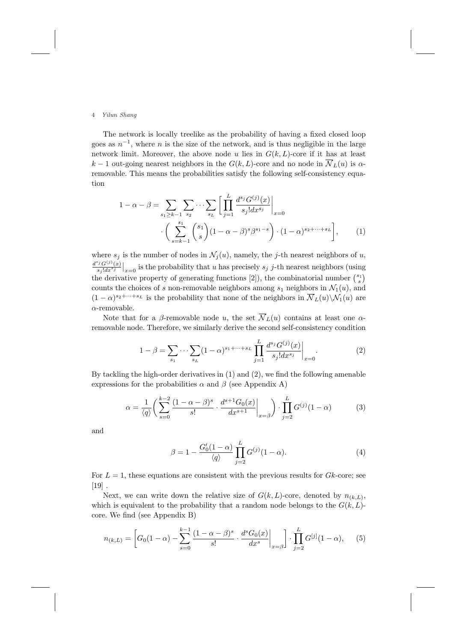The network is locally treelike as the probability of having a fixed closed loop goes as  $n^{-1}$ , where *n* is the size of the network, and is thus negligible in the large network limit. Moreover, the above node  $u$  lies in  $G(k, L)$ -core if it has at least  $k-1$  out-going nearest neighbors in the  $G(k, L)$ -core and no node in  $\overline{\mathcal{N}}_L(u)$  is  $\alpha$ removable. This means the probabilities satisfy the following self-consistency equation

$$
1 - \alpha - \beta = \sum_{s_1 \ge k-1} \sum_{s_2} \cdots \sum_{s_L} \left[ \prod_{j=1}^L \frac{d^{s_j} G^{(j)}(x)}{s_j! dx^{s_j}} \Big|_{x=0} \right. \\
\left. \cdot \left( \sum_{s=k-1}^{s_1} {s_1 \choose s} (1 - \alpha - \beta)^s \beta^{s_1 - s} \right) \cdot (1 - \alpha)^{s_2 + \cdots + s_L} \right], \tag{1}
$$

where  $s_j$  is the number of nodes in  $\mathcal{N}_j(u)$ , namely, the *j*-th nearest neighbors of *u*,  $\frac{d^{s_j}G^{(j)}(x)}{s_j!d x^{s_j}}|_{x=0}$  is the probability that *u* has precisely *s<sub>j</sub> j*-th nearest neighbors (using the derivative property of generating functions [2]), the combinatorial number  $\binom{s_1}{s}$ counts the choices of *s* non-removable neighbors among  $s_1$  neighbors in  $\mathcal{N}_1(u)$ , and  $(1 - \alpha)^{s_2 + \cdots + s_L}$  is the probability that none of the neighbors in  $\overline{\mathcal{N}}_L(u) \setminus \mathcal{N}_1(u)$  are *α*-removable.

Note that for a *β*-removable node *u*, the set  $\overline{N}_L(u)$  contains at least one *α*removable node. Therefore, we similarly derive the second self-consistency condition

$$
1 - \beta = \sum_{s_1} \cdots \sum_{s_L} (1 - \alpha)^{s_1 + \cdots + s_L} \prod_{j=1}^L \frac{d^{s_j} G^{(j)}(x)}{s_j! dx^{s_j}} \bigg|_{x=0}.
$$
 (2)

By tackling the high-order derivatives in (1) and (2), we find the following amenable expressions for the probabilities  $\alpha$  and  $\beta$  (see Appendix A)

$$
\alpha = \frac{1}{\langle q \rangle} \left( \sum_{s=0}^{k-2} \frac{(1 - \alpha - \beta)^s}{s!} \cdot \frac{d^{s+1} G_0(x)}{dx^{s+1}} \bigg|_{x=\beta} \right) \cdot \prod_{j=2}^L G^{(j)}(1-\alpha) \tag{3}
$$

and

$$
\beta = 1 - \frac{G_0'(1-\alpha)}{\langle q \rangle} \prod_{j=2}^{L} G^{(j)}(1-\alpha). \tag{4}
$$

For  $L = 1$ , these equations are consistent with the previous results for  $Gk$ -core; see  $[19]$ .

Next, we can write down the relative size of  $G(k, L)$ -core, denoted by  $n_{(k, L)}$ , which is equivalent to the probability that a random node belongs to the  $G(k, L)$ core. We find (see Appendix B)

$$
n_{(k,L)} = \left[ G_0(1-\alpha) - \sum_{s=0}^{k-1} \frac{(1-\alpha-\beta)^s}{s!} \cdot \frac{d^s G_0(x)}{dx^s} \bigg|_{x=\beta} \right] \cdot \prod_{j=2}^{L} G^{[j]}(1-\alpha), \quad (5)
$$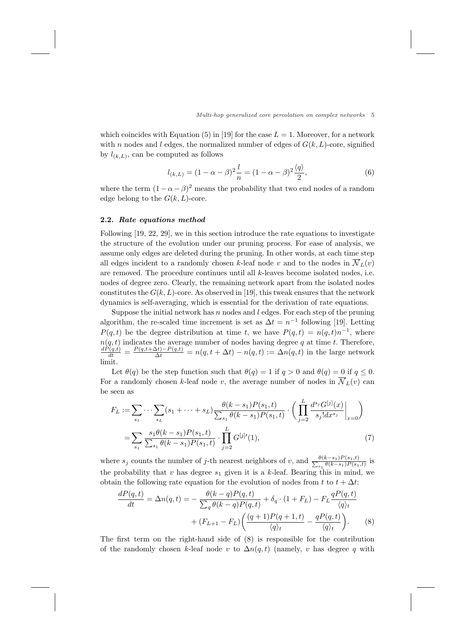which coincides with Equation (5) in [19] for the case  $L = 1$ . Moreover, for a network with *n* nodes and *l* edges, the normalized number of edges of  $G(k, L)$ -core, signified by  $l_{(k,L)}$ , can be computed as follows

$$
l_{(k,L)} = (1 - \alpha - \beta)^2 \frac{l}{n} = (1 - \alpha - \beta)^2 \frac{\langle q \rangle}{2},
$$
\n(6)

where the term  $(1 - \alpha - \beta)^2$  means the probability that two end nodes of a random edge belong to the  $G(k, L)$ -core.

## **2.2.** *Rate equations method*

Following [19, 22, 29], we in this section introduce the rate equations to investigate the structure of the evolution under our pruning process. For ease of analysis, we assume only edges are deleted during the pruning. In other words, at each time step all edges incident to a randomly chosen *k*-leaf node *v* and to the nodes in  $\overline{\mathcal{N}}_L(v)$ are removed. The procedure continues until all *k*-leaves become isolated nodes, i.e. nodes of degree zero. Clearly, the remaining network apart from the isolated nodes constitutes the  $G(k, L)$ -core. As observed in [19], this tweak ensures that the network dynamics is self-averaging, which is essential for the derivation of rate equations.

Suppose the initial network has *n* nodes and *l* edges. For each step of the pruning algorithm, the re-scaled time increment is set as  $\Delta t = n^{-1}$  following [19]. Letting *P*(*q, t*) be the degree distribution at time *t*, we have  $P(q,t) = n(q,t)n^{-1}$ , where  $n(q, t)$  indicates the average number of nodes having degree q at time t. Therefore,<br>  $\frac{dP(q,t)}{dt} = \frac{P(q,t+\Delta t)-P(q,t)}{\Delta t} = n(q, t + \Delta t) - n(q, t) := \Delta n(q, t)$  in the large network limit.

Let  $\theta(q)$  be the step function such that  $\theta(q) = 1$  if  $q > 0$  and  $\theta(q) = 0$  if  $q \leq 0$ . For a randomly chosen *k*-leaf node *v*, the average number of nodes in  $\overline{\mathcal{N}}_L(v)$  can be seen as

$$
F_L := \sum_{s_1} \cdots \sum_{s_L} (s_1 + \cdots + s_L) \frac{\theta(k - s_1) P(s_1, t)}{\sum_{s_1} \theta(k - s_1) P(s_1, t)} \cdot \left( \prod_{j=2}^L \frac{d^{s_j} G^{[j]}(x)}{s_j! dx^{s_j}} \bigg|_{x=0} \right)
$$
  
= 
$$
\sum_{s_1} \frac{s_1 \theta(k - s_1) P(s_1, t)}{\sum_{s_1} \theta(k - s_1) P(s_1, t)} \cdot \prod_{j=2}^L G^{[j]}(1),
$$
 (7)

where  $s_j$  counts the number of *j*-th nearest neighbors of *v*, and  $\frac{\theta(k-s_1)P(s_1,t)}{P(k-s_1)P(s_1)}$  $\frac{\theta(k-s_1)P(s_1,t)}{s_1\theta(k-s_1)P(s_1,t)}$  is the probability that *v* has degree  $s_1$  given it is a *k*-leaf. Bearing this in mind, we obtain the following rate equation for the evolution of nodes from  $t$  to  $t + \Delta t$ :

$$
\frac{dP(q,t)}{dt} = \Delta n(q,t) = -\frac{\theta(k-q)P(q,t)}{\sum_{q} \theta(k-q)P(q,t)} + \delta_{q} \cdot (1 + F_{L}) - F_{L} \frac{qP(q,t)}{\langle q \rangle_{t}} + (F_{L+1} - F_{L}) \left( \frac{(q+1)P(q+1,t)}{\langle q \rangle_{t}} - \frac{qP(q,t)}{\langle q \rangle_{t}} \right). \tag{8}
$$

The first term on the right-hand side of (8) is responsible for the contribution of the randomly chosen *k*-leaf node *v* to  $\Delta n(q,t)$  (namely, *v* has degree *q* with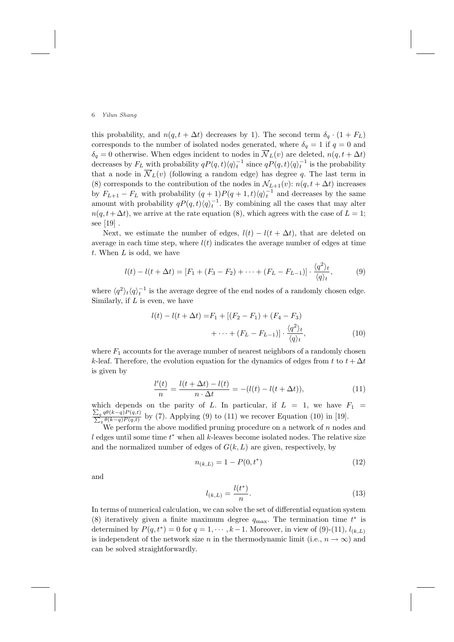this probability, and  $n(q, t + \Delta t)$  decreases by 1). The second term  $\delta_q \cdot (1 + F_L)$ corresponds to the number of isolated nodes generated, where  $\delta_q = 1$  if  $q = 0$  and  $\delta_q = 0$  otherwise. When edges incident to nodes in  $\overline{\mathcal{N}}_L(v)$  are deleted,  $n(q, t + \Delta t)$ decreases by  $F_L$  with probability  $qP(q, t) \langle q \rangle_t^{-1}$  since  $qP(q, t) \langle q \rangle_t^{-1}$  is the probability that a node in  $\overline{\mathcal{N}}_L(v)$  (following a random edge) has degree q. The last term in (8) corresponds to the contribution of the nodes in  $\mathcal{N}_{L+1}(v)$ :  $n(q, t + \Delta t)$  increases by  $F_{L+1} - F_L$  with probability  $(q + 1)P(q + 1, t) \langle q \rangle_t^{-1}$  and decreases by the same amount with probability  $qP(q, t) \langle q \rangle_t^{-1}$ . By combining all the cases that may alter  $n(q, t + \Delta t)$ , we arrive at the rate equation (8), which agrees with the case of  $L = 1$ ; see [19] .

Next, we estimate the number of edges,  $l(t) - l(t + \Delta t)$ , that are deleted on average in each time step, where  $l(t)$  indicates the average number of edges at time *t*. When *L* is odd, we have

$$
l(t) - l(t + \Delta t) = [F_1 + (F_3 - F_2) + \dots + (F_L - F_{L-1})] \cdot \frac{\langle q^2 \rangle_t}{\langle q \rangle_t},
$$
(9)

where  $\langle q^2 \rangle_t \langle q \rangle_t^{-1}$  is the average degree of the end nodes of a randomly chosen edge. Similarly, if *L* is even, we have

$$
l(t) - l(t + \Delta t) = F_1 + [(F_2 - F_1) + (F_4 - F_3) + \dots + (F_L - F_{L-1})] \cdot \frac{\langle q^2 \rangle_t}{\langle q \rangle_t},
$$
\n(10)

where  $F_1$  accounts for the average number of nearest neighbors of a randomly chosen *k*-leaf. Therefore, the evolution equation for the dynamics of edges from *t* to  $t + \Delta t$ is given by

$$
\frac{l'(t)}{n} = \frac{l(t + \Delta t) - l(t)}{n \cdot \Delta t} = -(l(t) - l(t + \Delta t)),
$$
\n(11)

which depends on the parity of L. In particular, if  $L = 1$ , we have  $F_1 =$  $\frac{\sum_q q\theta(k-q)P(q,t)}{\sum_q \theta(k-q)P(q,t)}$  by (7). Applying (9) to (11) we recover Equation (10) in [19].

We perform the above modified pruning procedure on a network of *n* nodes and *l* edges until some time *t ∗* when all *k*-leaves become isolated nodes. The relative size and the normalized number of edges of  $G(k, L)$  are given, respectively, by

$$
n_{(k,L)} = 1 - P(0, t^*)
$$
\n(12)

and

$$
l_{(k,L)} = \frac{l(t^*)}{n}.
$$
\n(13)

In terms of numerical calculation, we can solve the set of differential equation system (8) iteratively given a finite maximum degree  $q_{\text{max}}$ . The termination time  $t^*$  is determined by  $P(q, t^*) = 0$  for  $q = 1, \dots, k-1$ . Moreover, in view of  $(9)$ - $(11)$ ,  $l_{(k,L)}$ is independent of the network size *n* in the thermodynamic limit (i.e.,  $n \to \infty$ ) and can be solved straightforwardly.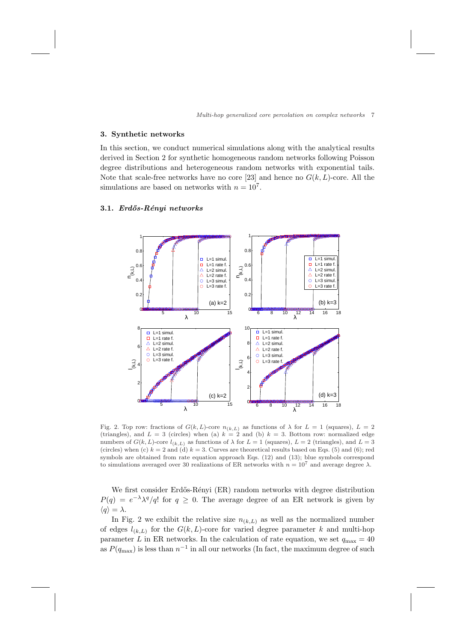#### **3. Synthetic networks**

In this section, we conduct numerical simulations along with the analytical results derived in Section 2 for synthetic homogeneous random networks following Poisson degree distributions and heterogeneous random networks with exponential tails. Note that scale-free networks have no core [23] and hence no  $G(k, L)$ -core. All the simulations are based on networks with  $n = 10<sup>7</sup>$ .

## **3.1.** *Erd˝os-R´enyi networks*



Fig. 2. Top row: fractions of  $G(k, L)$ -core  $n_{(k, L)}$  as functions of  $\lambda$  for  $L = 1$  (squares),  $L = 2$ (triangles), and  $L = 3$  (circles) when (a)  $k = 2$  and (b)  $k = 3$ . Bottom row: normalized edge numbers of  $G(k, L)$ -core  $l_{(k, L)}$  as functions of  $\lambda$  for  $L = 1$  (squares),  $L = 2$  (triangles), and  $L = 3$ (circles) when (c)  $k = 2$  and (d)  $k = 3$ . Curves are theoretical results based on Eqs. (5) and (6); red symbols are obtained from rate equation approach Eqs. (12) and (13); blue symbols correspond to simulations averaged over 30 realizations of ER networks with  $n = 10<sup>7</sup>$  and average degree  $λ$ .

We first consider Erdős-Rényi (ER) random networks with degree distribution  $P(q) = e^{-\lambda} \lambda^{q} / q!$  for  $q \geq 0$ . The average degree of an ER network is given by  $\langle q \rangle = \lambda$ .

In Fig. 2 we exhibit the relative size  $n_{(k,L)}$  as well as the normalized number of edges  $l_{(k,L)}$  for the  $G(k,L)$ -core for varied degree parameter k and multi-hop parameter *L* in ER networks. In the calculation of rate equation, we set  $q_{\text{max}} = 40$ as  $P(q_{\text{max}})$  is less than  $n^{-1}$  in all our networks (In fact, the maximum degree of such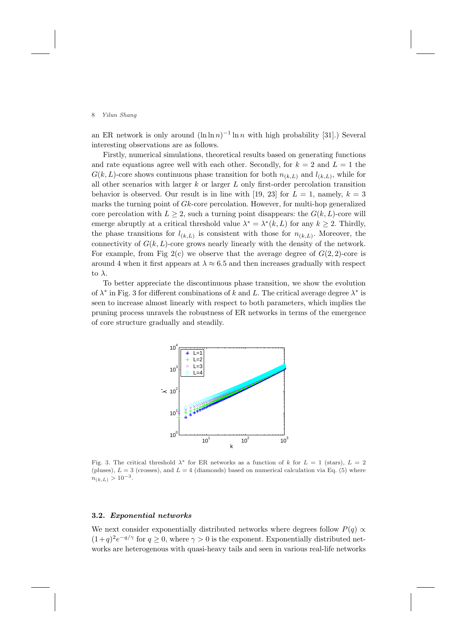an ER network is only around  $(\ln \ln n)^{-1} \ln n$  with high probability [31].) Several interesting observations are as follows.

Firstly, numerical simulations, theoretical results based on generating functions and rate equations agree well with each other. Secondly, for  $k = 2$  and  $L = 1$  the  $G(k, L)$ -core shows continuous phase transition for both  $n_{(k,L)}$  and  $l_{(k,L)}$ , while for all other scenarios with larger *k* or larger *L* only first-order percolation transition behavior is observed. Our result is in line with [19, 23] for  $L = 1$ , namely,  $k = 3$ marks the turning point of *Gk*-core percolation. However, for multi-hop generalized core percolation with  $L \geq 2$ , such a turning point disappears: the  $G(k, L)$ -core will emerge abruptly at a critical threshold value  $\lambda^* = \lambda^*(k, L)$  for any  $k \geq 2$ . Thirdly, the phase transitions for  $l_{(k,L)}$  is consistent with those for  $n_{(k,L)}$ . Moreover, the connectivity of  $G(k, L)$ -core grows nearly linearly with the density of the network. For example, from Fig  $2(c)$  we observe that the average degree of  $G(2, 2)$ -core is around 4 when it first appears at  $\lambda \approx 6.5$  and then increases gradually with respect to *λ*.

To better appreciate the discontinuous phase transition, we show the evolution of  $\lambda^*$  in Fig. 3 for different combinations of *k* and *L*. The critical average degree  $\lambda^*$  is seen to increase almost linearly with respect to both parameters, which implies the pruning process unravels the robustness of ER networks in terms of the emergence of core structure gradually and steadily.



Fig. 3. The critical threshold  $\lambda^*$  for ER networks as a function of k for  $L = 1$  (stars),  $L = 2$ (pluses),  $L = 3$  (crosses), and  $L = 4$  (diamonds) based on numerical calculation via Eq. (5) where  $n_{(k,L)} > 10^{-3}$ .

## **3.2.** *Exponential networks*

We next consider exponentially distributed networks where degrees follow  $P(q) \propto$  $(1+q)^2e^{-q/\gamma}$  for  $q \geq 0$ , where  $\gamma > 0$  is the exponent. Exponentially distributed networks are heterogenous with quasi-heavy tails and seen in various real-life networks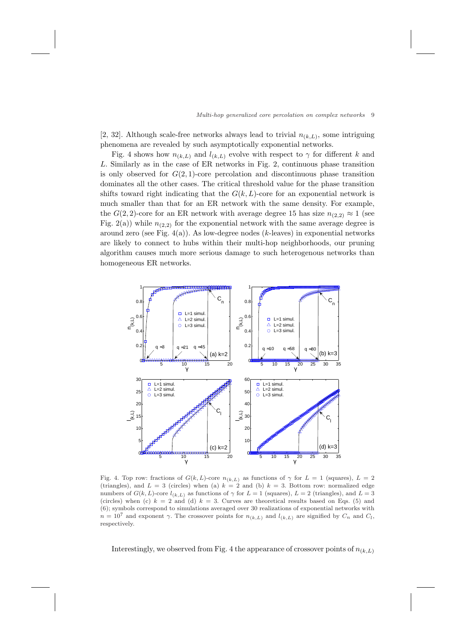[2, 32]. Although scale-free networks always lead to trivial  $n_{(k,L)}$ , some intriguing phenomena are revealed by such asymptotically exponential networks.

Fig. 4 shows how  $n_{(k,L)}$  and  $l_{(k,L)}$  evolve with respect to  $\gamma$  for different *k* and *L*. Similarly as in the case of ER networks in Fig. 2, continuous phase transition is only observed for  $G(2, 1)$ -core percolation and discontinuous phase transition dominates all the other cases. The critical threshold value for the phase transition shifts toward right indicating that the  $G(k, L)$ -core for an exponential network is much smaller than that for an ER network with the same density. For example, the  $G(2, 2)$ -core for an ER network with average degree 15 has size  $n_{(2, 2)} \approx 1$  (see Fig. 2(a)) while  $n_{(2,2)}$  for the exponential network with the same average degree is around zero (see Fig. 4(a)). As low-degree nodes (*k*-leaves) in exponential networks are likely to connect to hubs within their multi-hop neighborhoods, our pruning algorithm causes much more serious damage to such heterogenous networks than homogeneous ER networks.



Fig. 4. Top row: fractions of  $G(k, L)$ -core  $n_{(k, L)}$  as functions of  $\gamma$  for  $L = 1$  (squares),  $L = 2$ (triangles), and  $L = 3$  (circles) when (a)  $k = 2$  and (b)  $k = 3$ . Bottom row: normalized edge numbers of  $G(k, L)$ -core  $l_{(k, L)}$  as functions of  $\gamma$  for  $L = 1$  (squares),  $L = 2$  (triangles), and  $L = 3$ (circles) when (c)  $k = 2$  and (d)  $k = 3$ . Curves are theoretical results based on Eqs. (5) and (6); symbols correspond to simulations averaged over 30 realizations of exponential networks with  $n = 10^7$  and exponent *γ*. The crossover points for  $n_{(k,L)}$  and  $l_{(k,L)}$  are signified by  $C_n$  and  $C_l$ , respectively.

Interestingly, we observed from Fig. 4 the appearance of crossover points of  $n_{(k,L)}$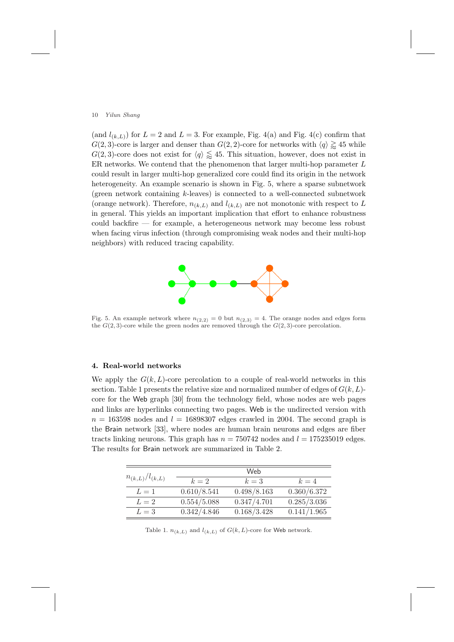(and  $l_{(k,L)}$ ) for  $L = 2$  and  $L = 3$ . For example, Fig. 4(a) and Fig. 4(c) confirm that *G*(2*,* 3)-core is larger and denser than *G*(2*,* 2)-core for networks with  $\langle q \rangle \gtrapprox 45$  while  $G(2,3)$ -core does not exist for  $\langle q \rangle \leq 45$ . This situation, however, does not exist in ER networks. We contend that the phenomenon that larger multi-hop parameter *L* could result in larger multi-hop generalized core could find its origin in the network heterogeneity. An example scenario is shown in Fig. 5, where a sparse subnetwork (green network containing *k*-leaves) is connected to a well-connected subnetwork (orange network). Therefore,  $n_{(k,L)}$  and  $l_{(k,L)}$  are not monotonic with respect to *L* in general. This yields an important implication that effort to enhance robustness could backfire — for example, a heterogeneous network may become less robust when facing virus infection (through compromising weak nodes and their multi-hop neighbors) with reduced tracing capability.



Fig. 5. An example network where  $n_{(2,2)} = 0$  but  $n_{(2,3)} = 4$ . The orange nodes and edges form the  $G(2,3)$ -core while the green nodes are removed through the  $G(2,3)$ -core percolation.

## **4. Real-world networks**

We apply the  $G(k, L)$ -core percolation to a couple of real-world networks in this section. Table 1 presents the relative size and normalized number of edges of *G*(*k, L*) core for the Web graph [30] from the technology field, whose nodes are web pages and links are hyperlinks connecting two pages. Web is the undirected version with  $n = 163598$  nodes and  $l = 16898307$  edges crawled in 2004. The second graph is the Brain network [33], where nodes are human brain neurons and edges are fiber tracts linking neurons. This graph has  $n = 750742$  nodes and  $l = 175235019$  edges. The results for Brain network are summarized in Table 2.

| $n_{(k,L)}/l_{(k,L)}$ |             | Web         |             |
|-----------------------|-------------|-------------|-------------|
|                       | $k=2$       | $k=3$       | $k=4$       |
| $L=1$                 | 0.610/8.541 | 0.498/8.163 | 0.360/6.372 |
| $L=2$                 | 0.554/5.088 | 0.347/4.701 | 0.285/3.036 |
| $L=3$                 | 0.342/4.846 | 0.168/3.428 | 0.141/1.965 |

Table 1.  $n_{(k,L)}$  and  $l_{(k,L)}$  of  $G(k,L)$ -core for Web network.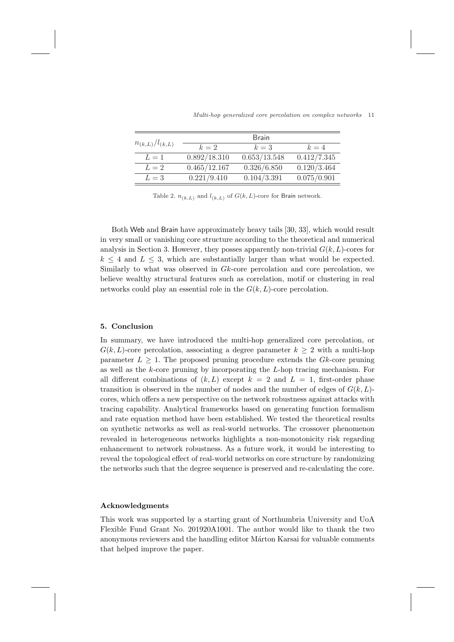|                       |              | <b>Brain</b> |             |
|-----------------------|--------------|--------------|-------------|
| $n_{(k,L)}/l_{(k,L)}$ | $k=2$        | $k=3$        | $k=4$       |
| $L=1$                 | 0.892/18.310 | 0.653/13.548 | 0.412/7.345 |
| $L=2$                 | 0.465/12.167 | 0.326/6.850  | 0.120/3.464 |
| $L=3$                 | 0.221/9.410  | 0.104/3.391  | 0.075/0.901 |

*Multi-hop generalized core percolation on complex networks* 11

Table 2.  $n_{(k,L)}$  and  $l_{(k,L)}$  of  $G(k,L)$ -core for Brain network.

Both Web and Brain have approximately heavy tails [30, 33], which would result in very small or vanishing core structure according to the theoretical and numerical analysis in Section 3. However, they posses apparently non-trivial  $G(k, L)$ -cores for  $k \leq 4$  and  $L \leq 3$ , which are substantially larger than what would be expected. Similarly to what was observed in *Gk*-core percolation and core percolation, we believe wealthy structural features such as correlation, motif or clustering in real networks could play an essential role in the  $G(k, L)$ -core percolation.

#### **5. Conclusion**

In summary, we have introduced the multi-hop generalized core percolation, or  $G(k, L)$ -core percolation, associating a degree parameter  $k \geq 2$  with a multi-hop parameter  $L \geq 1$ . The proposed pruning procedure extends the *Gk*-core pruning as well as the *k*-core pruning by incorporating the *L*-hop tracing mechanism. For all different combinations of  $(k, L)$  except  $k = 2$  and  $L = 1$ , first-order phase transition is observed in the number of nodes and the number of edges of *G*(*k, L*) cores, which offers a new perspective on the network robustness against attacks with tracing capability. Analytical frameworks based on generating function formalism and rate equation method have been established. We tested the theoretical results on synthetic networks as well as real-world networks. The crossover phenomenon revealed in heterogeneous networks highlights a non-monotonicity risk regarding enhancement to network robustness. As a future work, it would be interesting to reveal the topological effect of real-world networks on core structure by randomizing the networks such that the degree sequence is preserved and re-calculating the core.

## **Acknowledgments**

This work was supported by a starting grant of Northumbria University and UoA Flexible Fund Grant No. 201920A1001. The author would like to thank the two anonymous reviewers and the handling editor Márton Karsai for valuable comments that helped improve the paper.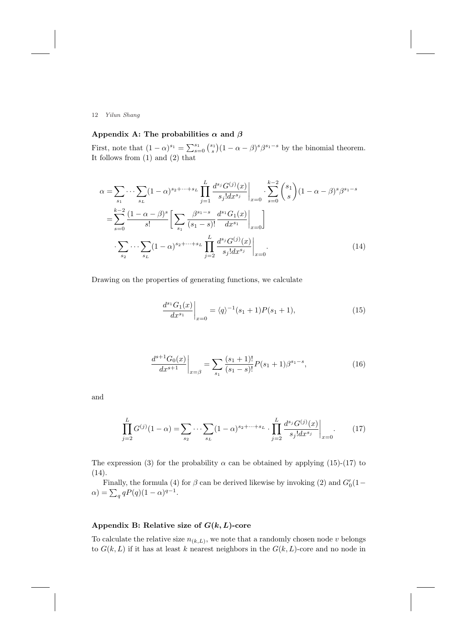## Appendix A: The probabilities  $\alpha$  and  $\beta$

First, note that  $(1 - \alpha)^{s_1} = \sum_{s=0}^{s_1} {s_1 \choose s} (1 - \alpha - \beta)^s \beta^{s_1 - s}$  by the binomial theorem. It follows from (1) and (2) that

$$
\alpha = \sum_{s_1} \cdots \sum_{s_L} (1 - \alpha)^{s_2 + \cdots + s_L} \prod_{j=1}^L \frac{d^{s_j} G^{(j)}(x)}{s_j! dx^{s_j}} \bigg|_{x=0} \cdot \sum_{s=0}^{k-2} {s_1 \choose s} (1 - \alpha - \beta)^s \beta^{s_1 - s} \n= \sum_{s=0}^{k-2} \frac{(1 - \alpha - \beta)^s}{s!} \left[ \sum_{s_1} \frac{\beta^{s_1 - s}}{(s_1 - s)!} \frac{d^{s_1} G_1(x)}{dx^{s_1}} \bigg|_{x=0} \right] \n\cdot \sum_{s_2} \cdots \sum_{s_L} (1 - \alpha)^{s_2 + \cdots + s_L} \prod_{j=2}^L \frac{d^{s_j} G^{(j)}(x)}{s_j! dx^{s_j}} \bigg|_{x=0}.
$$
\n(14)

Drawing on the properties of generating functions, we calculate

$$
\left. \frac{d^{s_1} G_1(x)}{dx^{s_1}} \right|_{x=0} = \langle q \rangle^{-1} (s_1 + 1) P(s_1 + 1), \tag{15}
$$

$$
\left. \frac{d^{s+1} G_0(x)}{dx^{s+1}} \right|_{x=\beta} = \sum_{s_1} \frac{(s_1+1)!}{(s_1-s)!} P(s_1+1) \beta^{s_1-s},\tag{16}
$$

and

$$
\prod_{j=2}^{L} G^{(j)}(1-\alpha) = \sum_{s_2} \cdots \sum_{s_L} (1-\alpha)^{s_2 + \cdots + s_L} \cdot \prod_{j=2}^{L} \frac{d^{s_j} G^{(j)}(x)}{s_j! dx^{s_j}} \bigg|_{x=0}.
$$
 (17)

The expression (3) for the probability  $\alpha$  can be obtained by applying (15)-(17) to (14).

Finally, the formula (4) for  $\beta$  can be derived likewise by invoking (2) and  $G'_{0}(1 \alpha$ ) =  $\sum_{q} qP(q)(1-\alpha)^{q-1}$ .

## **Appendix B: Relative size of** *G***(***k, L***)-core**

To calculate the relative size  $n_{(k,L)}$ , we note that a randomly chosen node  $v$  belongs to  $G(k, L)$  if it has at least *k* nearest neighbors in the  $G(k, L)$ -core and no node in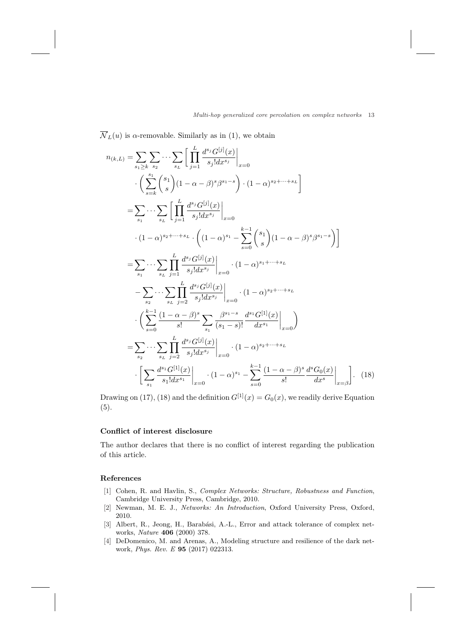#### *Multi-hop generalized core percolation on complex networks* 13

 $\overline{\mathcal{N}}_L(u)$  is *α*-removable. Similarly as in (1), we obtain

$$
n_{(k,L)} = \sum_{s_1 \geq k} \sum_{s_2} \cdots \sum_{s_L} \left[ \prod_{j=1}^{L} \frac{d^{s_j} G^{[j]}(x)}{s_j! d x^{s_j}} \Big|_{x=0} \right. \\
\left. \left. \sum_{s=k}^{s_1} \binom{s_1}{s} (1 - \alpha - \beta)^s \beta^{s_1 - s} \right) \cdot (1 - \alpha)^{s_2 + \cdots + s_L} \right]
$$
\n
$$
= \sum_{s_1} \cdots \sum_{s_L} \left[ \prod_{j=1}^{L} \frac{d^{s_j} G^{[j]}(x)}{s_j! d x^{s_j}} \Big|_{x=0} \right. \\
\left. \cdot (1 - \alpha)^{s_2 + \cdots + s_L} \cdot \left( (1 - \alpha)^{s_1} - \sum_{s=0}^{k-1} \binom{s_1}{s} (1 - \alpha - \beta)^s \beta^{s_1 - s} \right) \right]
$$
\n
$$
= \sum_{s_1} \cdots \sum_{s_L} \prod_{j=1}^{L} \frac{d^{s_j} G^{[j]}(x)}{s_j! d x^{s_j}} \Big|_{x=0} \cdot (1 - \alpha)^{s_1 + \cdots + s_L}
$$
\n
$$
- \sum_{s_2} \cdots \sum_{s_L} \prod_{j=2}^{L} \frac{d^{s_j} G^{[j]}(x)}{s_j! d x^{s_j}} \Big|_{x=0} \cdot (1 - \alpha)^{s_2 + \cdots + s_L}
$$
\n
$$
\cdot \left( \sum_{s=0}^{k-1} \frac{(1 - \alpha - \beta)^s}{s!} \sum_{s_1} \frac{\beta^{s_1 - s}}{(s_1 - s)!} \frac{d^{s_1} G^{[1]}(x)}{d x^{s_1}} \Big|_{x=0} \right)
$$
\n
$$
= \sum_{s_2} \cdots \sum_{s_L} \prod_{j=2}^{L} \frac{d^{s_j} G^{[j]}(x)}{s_j! d x^{s_j}} \Big|_{x=0} \cdot (1 - \alpha)^{s_2 + \cdots + s_L}
$$
\n
$$
\cdot \left[ \sum_{s_1} \frac{d^{s_1} G^{[1]}(x)}{s_1! d x^{s_1}} \Big|_{x=0} \cdot (1 - \alpha)^{s
$$

Drawing on (17), (18) and the definition  $G^{[1]}(x) = G_0(x)$ , we readily derive Equation (5).

## **Conflict of interest disclosure**

The author declares that there is no conflict of interest regarding the publication of this article.

## **References**

- [1] Cohen, R. and Havlin, S., *Complex Networks: Structure, Robustness and Function*, Cambridge University Press, Cambridge, 2010.
- [2] Newman, M. E. J., *Networks: An Introduction*, Oxford University Press, Oxford, 2010.
- [3] Albert, R., Jeong, H., Barabási, A.-L., Error and attack tolerance of complex networks, *Nature* **406** (2000) 378.
- [4] DeDomenico, M. and Arenas, A., Modeling structure and resilience of the dark network, *Phys. Rev. E* **95** (2017) 022313.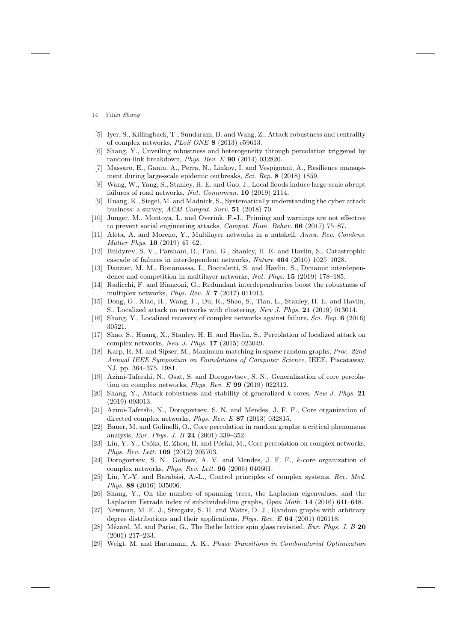- [5] Iyer, S., Killingback, T., Sundaram, B. and Wang, Z., Attack robustness and centrality of complex networks, *PLoS ONE* **8** (2013) e59613.
- [6] Shang, Y., Unveiling robustness and heterogeneity through percolation triggered by random-link breakdown, *Phys. Rev. E* **90** (2014) 032820.
- [7] Massaro, E., Ganin, A., Perra, N., Linkov, I. and Vespignani, A., Resilience management during large-scale epidemic outbreaks, *Sci. Rep.* **8** (2018) 1859.
- [8] Wang, W., Yang, S., Stanley, H. E. and Gao, J., Local floods induce large-scale abrupt failures of road networks, *Nat. Commmun.* **10** (2019) 2114.
- Huang, K., Siegel, M. and Madnick, S., Systematically understanding the cyber attack business: a survey, *ACM Comput. Surv.* **51** (2018) 70.
- [10] Junger, M., Montoya, L. and Overink, F.-J., Priming and warnings are not effective to prevent social engineering attacks, *Comput. Hum. Behav.* **66** (2017) 75–87.
- [11] Aleta, A. and Moreno, Y., Multilayer networks in a nutshell, *Annu. Rev. Condens. Matter Phys.* **10** (2019) 45–62.
- [12] Buldyrev, S. V., Parshani, R., Paul, G., Stanley, H. E. and Havlin, S., Catastrophic cascade of failures in interdependent networks, *Nature* **464** (2010) 1025–1028.
- [13] Danzier, M. M., Bonamassa, I., Boccaletti, S. and Havlin, S., Dynamic interdependence and competition in multilayer networks, *Nat. Phys.* **15** (2019) 178–185.
- [14] Radicchi, F. and Bianconi, G., Redundant interdependencies boost the robustness of multiplex networks, *Phys. Rev. X* **7** (2017) 011013.
- [15] Dong, G., Xiao, H., Wang, F., Du, R., Shao, S., Tian, L., Stanley, H. E. and Havlin, S., Localized attack on networks with clustering, *New J. Phys.* **21** (2019) 013014.
- [16] Shang, Y., Localized recovery of complex networks against failure, *Sci. Rep.* **6** (2016) 30521.
- [17] Shao, S., Huang, X., Stanley, H. E. and Havlin, S., Percolation of localized attack on complex networks, *New J. Phys.* **17** (2015) 023049.
- [18] Karp, R. M. and Sipser, M., Maximum matching in sparse random graphs, *Proc. 22nd Annual IEEE Symposium on Foundations of Computer Science*, IEEE, Piscataway, NJ, pp. 364–375, 1981.
- [19] Azimi-Tafreshi, N., Osat, S. and Dorogovtsev, S. N., Generalization of core percolation on complex networks, *Phys. Rev. E* **99** (2019) 022312.
- [20] Shang, Y., Attack robustness and stability of generalized *k*-cores, *New J. Phys.* **21** (2019) 093013.
- [21] Azimi-Tafreshi, N., Dorogovtsev, S. N. and Mendes, J. F. F., Core organization of directed complex networks, *Phys. Rev. E* **87** (2013) 032815.
- [22] Bauer, M. and Golinelli, O., Core percolation in random graphs: a critical phenomena analysis, *Eur. Phys. J. B* **24** (2001) 339–352.
- [23] Liu, Y.-Y., Csóka, E, Zhou, H. and Pósfai, M., Core percolation on complex networks, *Phys. Rev. Lett.* **109** (2012) 205703.
- [24] Dorogovtsev, S. N., Goltsev, A. V. and Mendes, J. F. F., *k*-core organization of complex networks, *Phys. Rev. Lett.* **96** (2006) 040601.
- [25] Liu, Y.-Y. and Barabási, A.-L., Control principles of complex systems, *Rev. Mod. Phys.* **88** (2016) 035006.
- [26] Shang, Y., On the number of spanning trees, the Laplacian eigenvalues, and the Laplacian Estrada index of subdivided-line graphs, *Open Math.* **14** (2016) 641–648.
- [27] Newman, M .E. J., Strogatz, S. H. and Watts, D. J., Random graphs with arbitrary degree distributions and their applications, *Phys. Rev. E* **64** (2001) 026118.
- [28] M´ezard, M. and Parisi, G., The Bethe lattice spin glass revisited, *Eur. Phys. J. B* **20** (2001) 217–233.
- [29] Weigt, M. and Hartmann, A. K., *Phase Transitions in Combinatorial Optimization*